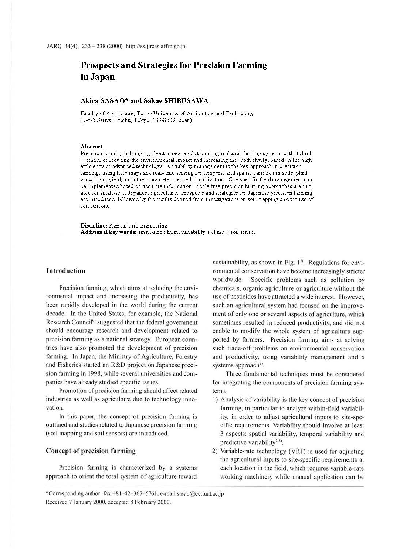# **Prospects and Strategies for Precision Farming in Japan**

## **Akira SASAO\* and Sakae SIIlBUSAWA**

Faculty of Agriculture, Tokyo University of Agriculture and Technology (3-8-5 Saiwai, Fuchu, Tokyo, 183-8509 Japan)

#### **Abstract**

Precision farming is bringing about a new revolution in agricultural farming systems with its high potential of reducing the environmental impact and increasing the productivity, based on the high efficiency of advanced technology. Variability management is the key approach in precision farming, using field maps and real-time sensing for temporal and spatial variation in soils, plant growth and yield, and other parameters related to cultivation. Site-specific field management can be implemented based on accurate information. Scale-free precision farming approaches are suitable for small-scale Japanese agriculture. Prospects and strategies for Japanese precision farming are introduced, followed by the results derived from investigations on soil mapping and the use of soil sensors.

**Discipline:** Agricultural engineering **Additional key words:** small-sized farm, variability soil map, soil sensor

## **Introduction**

Precision farming, which aims at reducing the environmental impact and increasing the productivity, has been rapidly developed in the world during the current decade. In the United States, for example, the National Research Council<sup>6)</sup> suggested that the federal government should encourage research and development related to precision farming as a national strategy. European countries have also promoted the development of precision farming. In Japan, the Ministry of Agriculture, Forestry and Fisheries started an R&D project on Japanese precision farming in 1998, while several universities and companies have already studied specific issues.

Promotion of precision farming should affect related industries as well as agriculture due to technology innovation.

In this paper, the concept of precision farming is outlined and studies related to Japanese precision farming (soil mapping and soil sensors) are introduced.

## **Concept of precision farming**

Precision farming is characterized by a systems approach to orient the total system of agriculture toward

sustainability, as shown in Fig.  $1<sup>7</sup>$ . Regulations for environmental conservation have become increasingly stricter worldwide. Specific problems such as pollution by chemicals, organic agriculture or agriculture without the use of pesticides have attracted a wide interest. However, such an agricultural system had focused on the improvement of only one or several aspects of agriculture, which sometimes resulted in reduced productivity, and did not enable to modify the whole system of agriculture supported by farmers. Precision farming aims at solving such trade-off problems on environmental conservation and productivity, using variability management and a systems approach<sup>2)</sup>.

Three fundamental tedmiques must be considered for integrating the components of precision farming systems.

- I) Analysis of variability is the key concept of precision farming, in particular to analyze within-field variability, in order to adjust agricultural inputs to site-specific requirements. Variability should involve at least 3 aspects: spatial variability, temporal variability and predictive variability $2.8$ .
- 2) Variable-rate technology (VRT) is used for adjusting the agricultural inputs to site-specific requirements at each location in the field, which requires variable-rate working machinery while manual application can be

<sup>•</sup>corresponding author: fax +8 1-42- 367- 5761 , e-mail sasao@cc.tuat.ac.jp Received 7 January 2000, accepted 8 February 2000.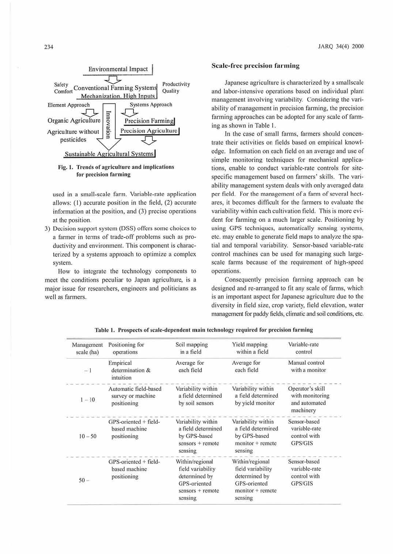

## Fig. 1. Trends of agriculture and implications for precision farming

used in a small-scale farm. Variable-rate application allows: (1) accurate position in the field, (2) accurate information at the position, and  $(3)$  precise operations at the position.

3) Decision support system (DSS) offers some choices to a farmer in terms of trade-off problems such as productivity and environment. This component is characterized by a systems approach to optimize a complex system.

How to integrate the technology components to meet the conditions peculiar to Japan agriculture, is a major issue for researchers, engineers and politicians as well as farmers.

## **Scale-free precision farming**

Japanese agriculture is characterized by a smallscale and labor-intensive operations based on individual plant management involving variability. Considering the variability of management in precision fanning, the precision farming approaches can be adopted for any scale of farming as shown in Table I.

In the case of small farms, farmers should concentrate their activities on fields based on empirical knowledge. Information on each field on an average and use of simple monitoring techniques for mechanical applications, enable to conduct variable-rate controls for sitespecific management based on farmers' skills. The variability management system deals with only averaged data per field. For the management of a farm of several hectares, it becomes difficult for the farmers to evaluate the variability within each cultivation field. This is more evident for farming on a much larger scale. Positioning by using GPS techniques, automatically sensing systems, etc. may enable to generate field maps 10 analyze the spatial and temporal variability. Sensor-based variable-rate control machines can be used for managing such largescale farms because of the requirement of high-speed operations.

Consequently precision farming approach can be designed and re-arranged to fit any scale of farms, which is an important aspect for Japanese agriculture due to the diversity in field size, crop variety, field elevation, water management for paddy fields, climatic and soil conditions, etc.

| Management<br>scale (ha) | Positioning for<br>operations                             | Soil mapping<br>in a field                                                                             | Yield mapping<br>within a field                                                                        | Variable-rate<br>control                                          |
|--------------------------|-----------------------------------------------------------|--------------------------------------------------------------------------------------------------------|--------------------------------------------------------------------------------------------------------|-------------------------------------------------------------------|
| $-1$                     | Empirical<br>determination &<br>intuition                 | Average for<br>each field                                                                              | Average for<br>each field                                                                              | Manual control<br>with a monitor                                  |
| $1 - 10$                 | Automatic field-based<br>survey or machine<br>positioning | Variability within<br>a field determined<br>by soil sensors                                            | Variability within<br>a field determined<br>by yield monitor                                           | Operator's skill<br>with monitoring<br>and automated<br>machinery |
| $10 - 50$                | $GPS-oriented + field-$<br>based machine<br>positioning   | Variability within<br>a field determined<br>by GPS-based<br>$sensors + remote$<br>sensing              | Variability within<br>a field determined<br>by GPS-based<br>$monitor + remote$<br>sensing              | Sensor-based<br>variable-rate<br>control with<br>GPS/GIS          |
| $50 -$                   | GPS-oriented + field-<br>based machine<br>positioning     | Within/regional<br>field variability<br>determined by<br>GPS-oriented<br>$sensors + remote$<br>sensing | Within/regional<br>field variability<br>determined by<br>GPS-oriented<br>$monitor + remote$<br>sensing | Sensor-based<br>variable-rate<br>control with<br>GPS/GIS          |

Table I. Prospects of scale-dependent main technology required for precision farming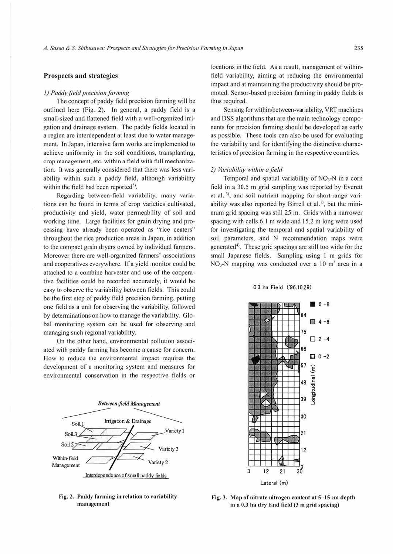## **Prospects and strategies**

#### *<i>(1) Paddy field precision farming*

The concept of paddy field precision farming will be outlined here (Fig. 2). In general, a paddy field is a small-sized and flattened field with a well-organized irrigation and drainage system. The paddy fields located in a region are interdependent al least due to water management. In Japan, intensive farm works arc implemented to achieve uniformity in the soil conditions, transplanting, crop management, etc. within a field with full mechanization. It was generally considered that there was less variability within such a paddy field, although variability within the field had been reported<sup>5)</sup>.

Regarding between-field variability, many variations can be found in terms of crop varieties cultivated, productivity and yield, water permeability of soil and working time. Large facilities for grain drying and processing have already been operated as "rice centers" throughout the rice production areas in Japan, in addition to the compact grain dryers owned by individual farmers. Moreover there are well-organized farmers' associations and cooperatives everywhere. Jfa yield monitor could be attached to a combine harvester and use of the cooperative facilities could he recorded accurately, it would be easy to observe the variability between fields. This could be the first step of paddy field precision farming, putting one field as a unit for observing the variability, followed by determinations on how to manage the variability. Global monitoring system can be used for observing and managing such regional variability.

On the other hand, environmental pollution associated with paddy farming has become a cause for concern. How to reduce the environmental impact requires the development of a monitoring system and measures for environmental conservation in the respective fields or



Fig. 2. Paddy farming in relation to variability management

locations in the field. As a result, management of withintield variability, aiming at reducing the environmental impact and at maintaining the productivity should be promoted. Sensor-based precision farming in paddy fields is thus required.

Sensing for within/between-variability, VRT machines and DSS algorithms that are the main technology components for precision farming should be developed as early as possible. These tools can also be used for evaluating the variability and for identifying the distinctive characteristics of precision farming in the respective countries.

#### *2) Variability within afield*

Temporal and spatial variability of  $NO<sub>3</sub>$ -N in a corn field in a 30.5 m grid sampling was reported by Everett et al.<sup>3)</sup>, and soil nutrient mapping for short-range variability was also reported by Birrell et al.<sup>11</sup>, but the minimum grid spacing was still 25 m. Grids with a narrower spacing with cells 6.1 m wide and 15.2 m long were used for investigating the temporal and spatial variability of soil parameters, and N recommendation maps were generated<sup>4</sup>). These grid spacings are still too wide for the small Japanese fields. Sampling using 1 m grids for  $NO<sub>3</sub>-N$  mapping was conducted over a 10 m<sup>2</sup> area in a

#### 0.3 ha Field ('96.10.29)



Fig. 3. Map of nitrate nitrogen content at 5-15 cm depth in a 0.3 ha dry land field (3 m grid spacing)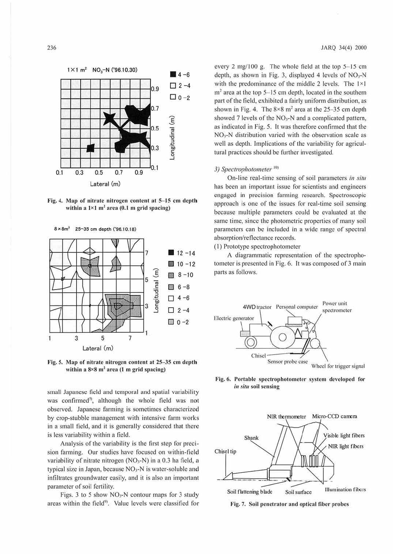

Fig. 4. Map of nitrate nitrogen content at 5-15 cm depth within a  $1 \times 1$  m<sup>2</sup> area (0.1 m grid spacing)

8x8m2 25-35 cm depth ('96.10.18)



Fig. 5. Map of nitrate nitrogen content at 25-35 cm depth within a  $8 \times 8$  m<sup>2</sup> area (1 m grid spacing)

small Japanese field and temporal and spatial variability was confirmed<sup>5</sup>, although the whole field was not observed. Japanese farming is sometimes characterized by crop-stubble management with imensive farm works in a small field, and it is generally considered that there is less variability within a field.

Analysis of the variability is the first step for precision farming. Our studies have focused on within-field variability of nitrate nitrogen ( $NO<sub>3</sub>-N$ ) in a 0.3 ha field, a typical size in Japan, because  $NO<sub>3</sub>-N$  is water-soluble and infiltrates groundwater easily, and it is also an important parameter of soil fertility.

Figs. 3 to 5 show  $NO<sub>3</sub>-N$  contour maps for 3 study areas within the field<sup>9</sup>. Value levels were classified for

every  $2 \text{ mg}/100 \text{ g}$ . The whole field at the top  $5-15 \text{ cm}$ depth, as shown in Fig. 3, displayed 4 levels of  $NO<sub>3</sub>-N$ with the predominance of the middle 2 levels. The I×I  $m<sup>2</sup>$  area at the top 5-15 cm depth, located in the southern part of the field, exhibited a fairly uniform distribution, as shown in Fig. 4. The  $8 \times 8$  m<sup>2</sup> area at the 25-35 cm depth showed 7 levels of the  $NO<sub>3</sub>$ -N and a complicated pattern, as indicated in Fig. *5.* lt was therefore confirmed that the N03-N distribution varied with the observation scale as well as depth. Implications of the variability for agricultural practices should be further investigated.

## 3) Spectrophotometer<sup>101</sup>

On-line real-time sensing of soil parameters *in situ*  has been an important issue for scientists and engineers engaged in precision farming research. Spectroscopic approach is one of the issues for real-time soil sensing because multiple parameters could be evaluated at the same time, since the photometric properties of many soil parameters can be included in a wide range of spectral absorption/reflectance records.

( l) Prototype spectrophoromcter

A diagrammatic representation of the spectrophotometer is presented in Fig. 6. It was composed of 3 main parts as follows.



rig. 6. Portable spectrophotometer system developed for *in situ* soil sensing



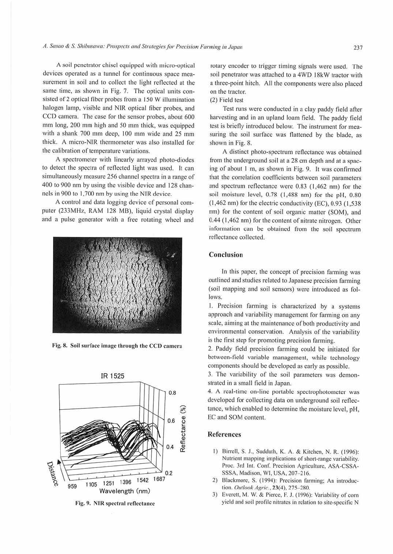A soil penetrator chisel equipped with micro-optical devices operated as a tunnel for continuous space measurement in soil and to collect the light reflected at the same time. as shown in Fig. 7. The optical units consisted of 2 optical fiber probes from a 150 W illumination halogen lamp, visible and NIR optical fiber probes, and CCD camera. The case for the sensor probes, about 600 mm long, 200 mm high and 50 mm thick, was equipped with a shank 700 mm deep, 100 mm wide and 25 mm thick. A micro-NIR thermometer was also installed for the calibration of temperature variations.

A spectrometer with linearly arrayed photo-diodes to detect the spectra of reflected light was used. It can simultaneously measure 256 channel spectra in a range of 400 to 900 nm by using the visible device and 128 channels in 900 to 1,700 nm by using the NJR device.

A control and data logging device of personal computer (233MHz, RAM 128 MB), liquid crystal display and a pulse generator with a free rotating wheel and



Fig. 8. Soil surface image through the CCD camera



Fig. 9. **NIR** spectral reflectance

rotary encoder to trigger timing signals were used. The soil penetrator was attached to a 4WD 18kW tractor with a three-point hitch. All the components were also placed on the tractor.

## (2) Field test

Test runs were conducted in a clay paddy field after harvesting and in an upland loam field. The paddy field test is briefly introduced below. The instrument for measuring the soil surface was flattened by the blade, as shown in Fig. 8.

A distinct photo-spectrum reflectance was obtained from the underground soil at a 28 cm depth and at a spacing of about 1 m, as shown in Fig. 9. It was confirmed that the correlation coefficients between soil paramerers and spectrum reflectance were  $0.83$  (1,462 nm) for the soil moisture level, 0.78 (1,488 nm) for the pH, 0.80 (1,462 nm) for the electric conductivity (EC), 0.93 (1,538 nm) for the content of soil organic matter (SOM), and 0.44 (1 ,462 nm) for the content of nitrate nitrogen. Other information can be obtained from the soil spectrum reflectance collected.

## **Conclusion**

In this paper, the concept of precision farming was outlined and studies related to Japanese precision farming (soil mapping and soil sensors) were introduced as follows.

1. Precision farming is characterized by a systems approach and variability management for farming on any scale, aiming at the maintenance of both productivity and environmental conservation. Analysis of the variability is the first step for promoting precision farming.

2. Paddy field precision fanning could be initiated for between-field variable management, while technology components should be developed as early as possible.

3. The variability of the soil parameters was demonstrated in a small field in Japan.

4. A real-time on-line portable spectrophotometer was developed for collecting data on underground soil reflectance, which enabled to determine the moisture level, pH, EC and SOM content.

#### **References**

- I) Birrell, S. J., Sudduth, K. A. & Kitchen. N. R. ( 1996): Nutrient mapping implications of short-range variability. Proc. 3rd Int. Conf. Precision Agriculture, ASA-CSSA-SSSA, Madison, WI, USA, 207-216.
- 2) Blackmore, S. (1994): Precision farming; An introduction. *Outlook Agric.*, 23(4), 275-280.
- 3) Everett, M. W. & Pierce, F. J. (1996): Variability of corn yield and soil profile nitrates in relation 10 site-specific N